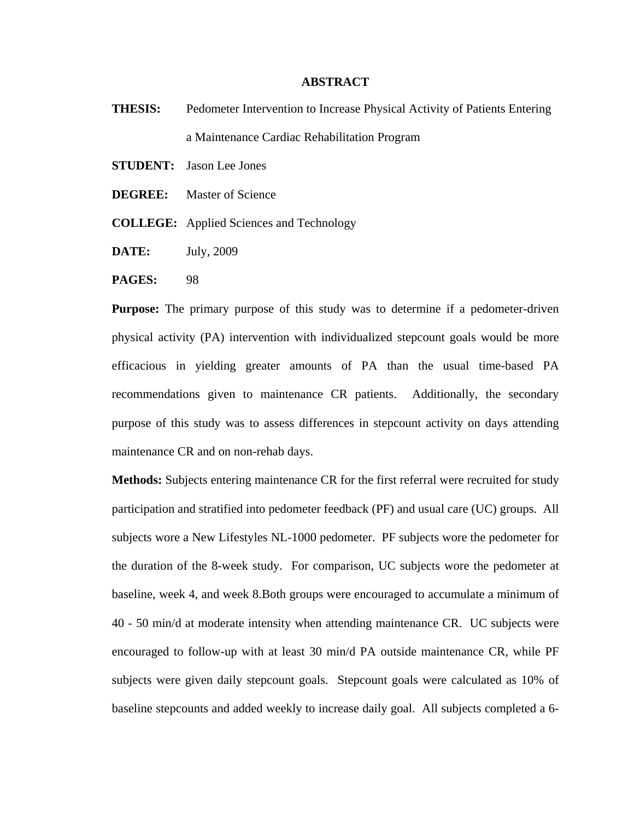## **ABSTRACT**

- **THESIS:** Pedometer Intervention to Increase Physical Activity of Patients Entering a Maintenance Cardiac Rehabilitation Program
- **STUDENT:** Jason Lee Jones
- **DEGREE:** Master of Science
- **COLLEGE:** Applied Sciences and Technology
- **DATE:** July, 2009
- **PAGES:** 98

**Purpose:** The primary purpose of this study was to determine if a pedometer-driven physical activity (PA) intervention with individualized stepcount goals would be more efficacious in yielding greater amounts of PA than the usual time-based PA recommendations given to maintenance CR patients. Additionally, the secondary purpose of this study was to assess differences in stepcount activity on days attending maintenance CR and on non-rehab days.

**Methods:** Subjects entering maintenance CR for the first referral were recruited for study participation and stratified into pedometer feedback (PF) and usual care (UC) groups. All subjects wore a New Lifestyles NL-1000 pedometer. PF subjects wore the pedometer for the duration of the 8-week study. For comparison, UC subjects wore the pedometer at baseline, week 4, and week 8.Both groups were encouraged to accumulate a minimum of 40 - 50 min/d at moderate intensity when attending maintenance CR. UC subjects were encouraged to follow-up with at least 30 min/d PA outside maintenance CR, while PF subjects were given daily stepcount goals. Stepcount goals were calculated as 10% of baseline stepcounts and added weekly to increase daily goal. All subjects completed a 6